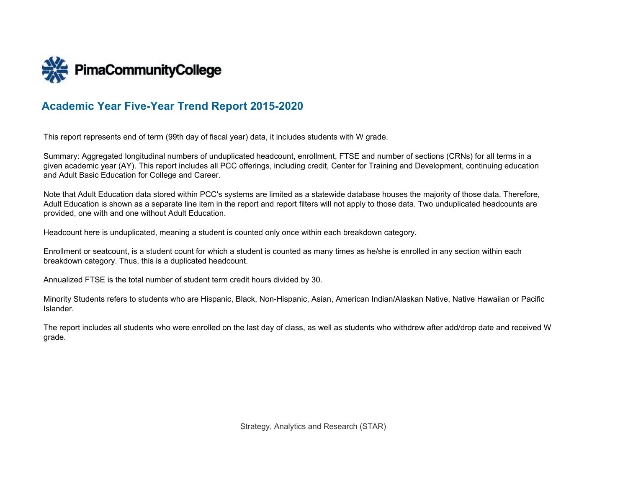

# **Academic Year Five-Year Trend Report 2015-2020**

This report represents end of term (99th day of fiscal year) data, it includes students with W grade.

Summary: Aggregated longitudinal numbers of unduplicated headcount, enrollment, FTSE and number of sections (CRNs) for all terms in a given academic year (AY). This report includes all PCC offerings, including credit, Center for Training and Development, continuing education and Adult Basic Education for College and Career.

Note that Adult Education data stored within PCC's systems are limited as a statewide database houses the majority of those data. Therefore, Adult Education is shown as a separate line item in the report and report filters will not apply to those data. Two unduplicated headcounts are provided, one with and one without Adult Education.

Headcount here is unduplicated, meaning a student is counted only once within each breakdown category.

Enrollment or seatcount, is a student count for which a student is counted as many times as he/she is enrolled in any section within each breakdown category. Thus, this is a duplicated headcount.

Annualized FTSE is the total number of student term credit hours divided by 30.

Minority Students refers to students who are Hispanic, Black, Non-Hispanic, Asian, American Indian/Alaskan Native, Native Hawaiian or Pacific Islander.

The report includes all students who were enrolled on the last day of class, as well as students who withdrew after add/drop date and received W grade.

Strategy, Analytics and Research (STAR)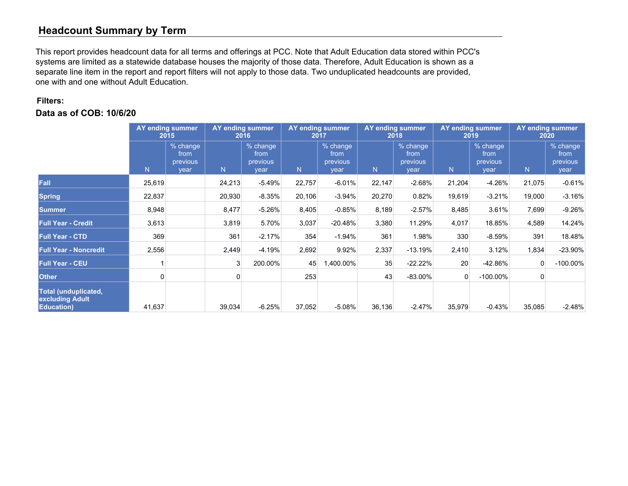# **Headcount Summary by Term**

This report provides headcount data for all terms and offerings at PCC. Note that Adult Education data stored within PCC's systems are limited as a statewide database houses the majority of those data. Therefore, Adult Education is shown as a separate line item in the report and report filters will not apply to those data. Two unduplicated headcounts are provided, one with and one without Adult Education.

#### **Filters:**

|                                                                      | AY ending summer<br>2015 |                                      |        | <b>AY ending summer</b><br>2016      |        | <b>AY ending summer</b><br>2017      | <b>AY ending summer</b><br>2018 |                                      | <b>AY ending summer</b><br>2019 |                                      | <b>AY ending summer</b><br>2020 |                                        |
|----------------------------------------------------------------------|--------------------------|--------------------------------------|--------|--------------------------------------|--------|--------------------------------------|---------------------------------|--------------------------------------|---------------------------------|--------------------------------------|---------------------------------|----------------------------------------|
|                                                                      | N.                       | % change<br>from<br>previous<br>vear | N      | % change<br>from<br>previous<br>year | N.     | % change<br>from<br>previous<br>year | N                               | % change<br>from<br>previous<br>year | N                               | % change<br>from<br>previous<br>year | N.                              | $%$ change<br>from<br>previous<br>year |
| Fall                                                                 | 25,619                   |                                      | 24,213 | $-5.49%$                             | 22,757 | $-6.01%$                             | 22,147                          | $-2.68%$                             | 21,204                          | $-4.26%$                             | 21,075                          | $-0.61%$                               |
| <b>Spring</b>                                                        | 22,837                   |                                      | 20,930 | $-8.35%$                             | 20,106 | $-3.94%$                             | 20,270                          | 0.82%                                | 19,619                          | $-3.21%$                             | 19,000                          | $-3.16%$                               |
| <b>Summer</b>                                                        | 8,948                    |                                      | 8,477  | $-5.26%$                             | 8,405  | $-0.85%$                             | 8,189                           | $-2.57%$                             | 8,485                           | 3.61%                                | 7,699                           | $-9.26%$                               |
| <b>Full Year - Credit</b>                                            | 3,613                    |                                      | 3,819  | 5.70%                                | 3,037  | $-20.48%$                            | 3,380                           | 11.29%                               | 4,017                           | 18.85%                               | 4,589                           | 14.24%                                 |
| <b>Full Year - CTD</b>                                               | 369                      |                                      | 361    | $-2.17%$                             | 354    | $-1.94%$                             | 361                             | 1.98%                                | 330                             | $-8.59%$                             | 391                             | 18.48%                                 |
| <b>Full Year - Noncredit</b>                                         | 2,556                    |                                      | 2,449  | $-4.19%$                             | 2,692  | 9.92%                                | 2,337                           | $-13.19%$                            | 2,410                           | 3.12%                                | 1,834                           | $-23.90%$                              |
| <b>Full Year - CEU</b>                                               |                          |                                      | 3      | 200.00%                              | 45     | 1,400.00%                            | 35                              | $-22.22%$                            | 20                              | $-42.86%$                            | 0                               | $-100.00\%$                            |
| <b>Other</b>                                                         | 0                        |                                      |        |                                      | 253    |                                      | 43                              | $-83.00\%$                           | 0                               | $-100.00\%$                          | $\Omega$                        |                                        |
| <b>Total (unduplicated,</b><br>excluding Adult<br><b>Education</b> ) | 41,637                   |                                      | 39,034 | $-6.25%$                             | 37,052 | $-5.08%$                             | 36,136                          | $-2.47%$                             | 35,979                          | $-0.43%$                             | 35,085                          | $-2.48%$                               |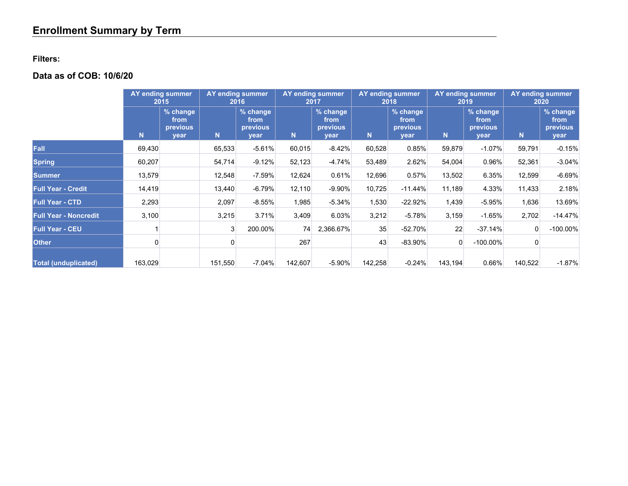### **Filters:**

|                              | <b>AY</b> ending summer<br>2015 |                                        |         | <b>AY</b> ending summer<br>2016      | <b>AY ending summer</b><br><b>AY ending summer</b><br><b>AY ending summer</b><br>2017<br>2018<br>2019 |                                      | <b>AY ending summer</b><br>2020 |                                      |         |                                      |         |                                             |
|------------------------------|---------------------------------|----------------------------------------|---------|--------------------------------------|-------------------------------------------------------------------------------------------------------|--------------------------------------|---------------------------------|--------------------------------------|---------|--------------------------------------|---------|---------------------------------------------|
|                              | N                               | $%$ change<br>from<br>previous<br>year | N.      | % change<br>from<br>previous<br>year | N                                                                                                     | % change<br>from<br>previous<br>year | N                               | % change<br>from<br>previous<br>year | N.      | % change<br>from<br>previous<br>year | N       | % change<br>from<br><b>previous</b><br>year |
| Fall                         | 69,430                          |                                        | 65,533  | $-5.61%$                             | 60,015                                                                                                | $-8.42%$                             | 60,528                          | 0.85%                                | 59,879  | $-1.07%$                             | 59,791  | $-0.15%$                                    |
| <b>Spring</b>                | 60,207                          |                                        | 54,714  | $-9.12%$                             | 52,123                                                                                                | $-4.74%$                             | 53,489                          | 2.62%                                | 54,004  | 0.96%                                | 52,361  | $-3.04%$                                    |
| <b>Summer</b>                | 13,579                          |                                        | 12,548  | $-7.59%$                             | 12,624                                                                                                | 0.61%                                | 12,696                          | 0.57%                                | 13,502  | 6.35%                                | 12,599  | $-6.69%$                                    |
| <b>Full Year - Credit</b>    | 14,419                          |                                        | 13,440  | $-6.79%$                             | 12,110                                                                                                | $-9.90%$                             | 10,725                          | $-11.44%$                            | 11,189  | 4.33%                                | 11,433  | 2.18%                                       |
| <b>Full Year - CTD</b>       | 2,293                           |                                        | 2,097   | $-8.55%$                             | 1,985                                                                                                 | $-5.34%$                             | 1,530                           | $-22.92%$                            | 1,439   | $-5.95%$                             | 1,636   | 13.69%                                      |
| <b>Full Year - Noncredit</b> | 3,100                           |                                        | 3,215   | 3.71%                                | 3,409                                                                                                 | 6.03%                                | 3,212                           | $-5.78%$                             | 3,159   | $-1.65%$                             | 2,702   | $-14.47%$                                   |
| <b>Full Year - CEU</b>       |                                 |                                        | 3       | 200.00%                              | 74                                                                                                    | 2,366.67%                            | 35                              | $-52.70%$                            | 22      | $-37.14%$                            |         | $-100.00\%$                                 |
| <b>Other</b>                 |                                 |                                        | 0       |                                      | 267                                                                                                   |                                      | 43                              | $-83.90\%$                           | 0       | $-100.00\%$                          |         |                                             |
| <b>Total (unduplicated)</b>  | 163,029                         |                                        | 151,550 | $-7.04%$                             | 142,607                                                                                               | $-5.90%$                             | 142,258                         | $-0.24%$                             | 143,194 | 0.66%                                | 140,522 | $-1.87%$                                    |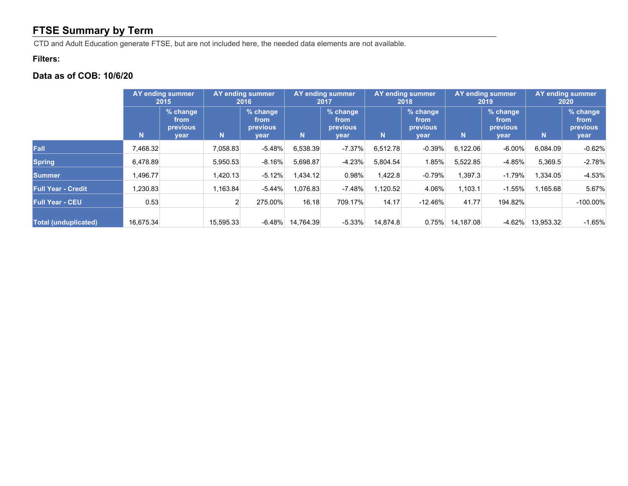# **FTSE Summary by Term**

CTD and Adult Education generate FTSE, but are not included here, the needed data elements are not available.

#### **Filters:**

|                             | AY ending summer<br>2015 |                                      |           | <b>AY ending summer</b><br>AY ending summer<br>AY ending summer<br><b>AY ending summer</b><br>2016<br>2017<br>2018<br>2019 |           |                                      | AY ending summer<br>2020 |                                             |           |                                      |           |                                      |
|-----------------------------|--------------------------|--------------------------------------|-----------|----------------------------------------------------------------------------------------------------------------------------|-----------|--------------------------------------|--------------------------|---------------------------------------------|-----------|--------------------------------------|-----------|--------------------------------------|
|                             | N                        | % change<br>from<br>previous<br>vear | N.        | % change<br>from<br>previous<br>year                                                                                       | N.        | % change<br>from<br>previous<br>vear | N                        | % change<br>from<br><b>previous</b><br>vear | <b>N</b>  | % change<br>from<br>previous<br>year | N         | % change<br>from<br>previous<br>year |
| Fall                        | 7,468.32                 |                                      | 7,058.83  | $-5.48%$                                                                                                                   | 6,538.39  | $-7.37\%$                            | 6,512.78                 | $-0.39%$                                    | 6,122.06  | $-6.00\%$                            | 6,084.09  | $-0.62%$                             |
| <b>Spring</b>               | 6,478.89                 |                                      | 5,950.53  | $-8.16\%$                                                                                                                  | 5.698.87  | $-4.23%$                             | 5.804.54                 | 1.85%                                       | 5,522.85  | $-4.85%$                             | 5,369.5   | $-2.78%$                             |
| Summer                      | 1,496.77                 |                                      | 1,420.13  | $-5.12%$                                                                                                                   | .434.12   | 0.98%                                | 1,422.8                  | $-0.79%$                                    | 1,397.3   | $-1.79%$                             | 1,334.05  | $-4.53%$                             |
| Full Year - Credit          | 1,230.83                 |                                      | 1,163.84  | $-5.44%$                                                                                                                   | 1,076.83  | $-7.48%$                             | 1,120.52                 | 4.06%                                       | 1,103.1   | $-1.55%$                             | 1,165.68  | 5.67%                                |
| <b>Full Year - CEU</b>      | 0.53                     |                                      |           | 275.00%                                                                                                                    | 16.18     | 709.17%                              | 14.17                    | $-12.46\%$                                  | 41.77     | 194.82%                              |           | $-100.00\%$                          |
| <b>Total (unduplicated)</b> | 16,675.34                |                                      | 15,595.33 | $-6.48\%$                                                                                                                  | 14.764.39 | $-5.33%$                             | 14.874.8                 | 0.75%                                       | 14.187.08 | $-4.62\%$                            | 13,953.32 | $-1.65%$                             |